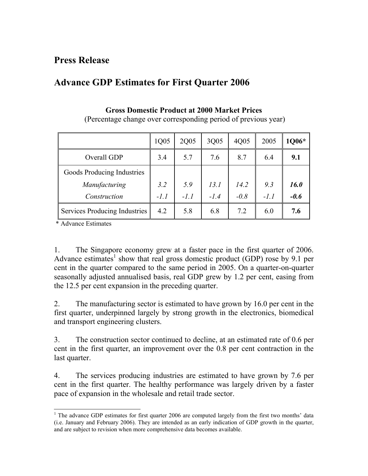## **Advance GDP Estimates for First Quarter 2006**

|                               | 1Q05   | 2Q05   | 3Q05   | 4Q05   | 2005   | 1Q06*  |
|-------------------------------|--------|--------|--------|--------|--------|--------|
| Overall GDP                   | 3.4    | 5.7    | 7.6    | 8.7    | 6.4    | 9.1    |
| Goods Producing Industries    |        |        |        |        |        |        |
| Manufacturing                 | 3.2    | 5.9    | 13.1   | 14.2   | 9.3    | 16.0   |
| Construction                  | $-1.1$ | $-1.1$ | $-1.4$ | $-0.8$ | $-l.l$ | $-0.6$ |
| Services Producing Industries | 4.2    | 5.8    | 6.8    | 7.2    | 6.0    | 7.6    |

## **Gross Domestic Product at 2000 Market Prices**  (Percentage change over corresponding period of previous year)

\* Advance Estimates

1. The Singapore economy grew at a faster pace in the first quarter of 2006. Advance estimates<sup>[1](#page-0-0)</sup> show that real gross domestic product (GDP) rose by 9.1 per cent in the quarter compared to the same period in 2005. On a quarter-on-quarter seasonally adjusted annualised basis, real GDP grew by 1.2 per cent, easing from the 12.5 per cent expansion in the preceding quarter.

2. The manufacturing sector is estimated to have grown by 16.0 per cent in the first quarter, underpinned largely by strong growth in the electronics, biomedical and transport engineering clusters.

3. The construction sector continued to decline, at an estimated rate of 0.6 per cent in the first quarter, an improvement over the 0.8 per cent contraction in the last quarter.

4. The services producing industries are estimated to have grown by 7.6 per cent in the first quarter. The healthy performance was largely driven by a faster pace of expansion in the wholesale and retail trade sector.

<span id="page-0-0"></span>l <sup>1</sup> The advance GDP estimates for first quarter 2006 are computed largely from the first two months' data (i.e. January and February 2006). They are intended as an early indication of GDP growth in the quarter, and are subject to revision when more comprehensive data becomes available.